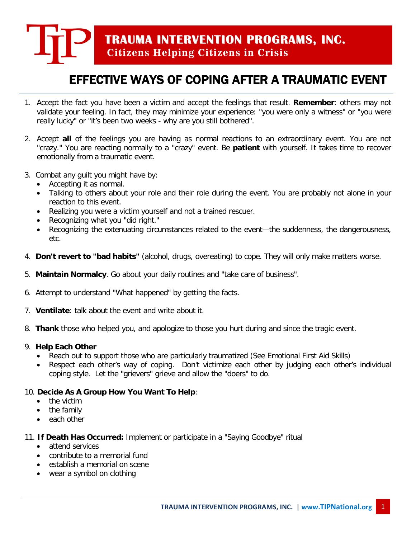# **TRAUMA INTERVENTION PROGRAMS, INC. Citizens Helping Citizens in Crisis**

## EFFECTIVE WAYS OF COPING AFTER A TRAUMATIC EVENT

- 1. Accept the fact you have been a victim and accept the feelings that result. **Remember**: others may not validate your feeling. In fact, they may minimize your experience: "you were only a witness" or "you were really lucky" or "it's been two weeks - why are you still bothered".
- 2. Accept **all** of the feelings you are having as normal reactions to an extraordinary event. You are not "crazy." You are reacting normally to a "crazy" event. Be **patient** with yourself. It takes time to recover emotionally from a traumatic event.
- 3. Combat any guilt you might have by:
	- Accepting it as normal.
	- Talking to others about your role and their role during the event. You are probably not alone in your reaction to this event.
	- Realizing you were a victim yourself and not a trained rescuer.
	- Recognizing what you "did right."
	- Recognizing the extenuating circumstances related to the event—the suddenness, the dangerousness, etc.
- 4. **Don't revert to "bad habits"** (alcohol, drugs, overeating) to cope. They will only make matters worse.
- 5. **Maintain Normalcy**. Go about your daily routines and "take care of business".
- 6. Attempt to understand "What happened" by getting the facts.
- 7. **Ventilate**: talk about the event and write about it.
- 8. **Thank** those who helped you, and apologize to those you hurt during and since the tragic event.

### 9. **Help Each Other**

- Reach out to support those who are particularly traumatized (See Emotional First Aid Skills)
- Respect each other's way of coping. Don't victimize each other by judging each other's individual coping style. Let the "grievers" grieve and allow the "doers" to do.

### 10. **Decide As A Group How You Want To Help**:

- the victim
- the family
- each other

### 11. **If Death Has Occurred:** Implement or participate in a "Saying Goodbye" ritual

- attend services
- contribute to a memorial fund
- establish a memorial on scene
- wear a symbol on clothing